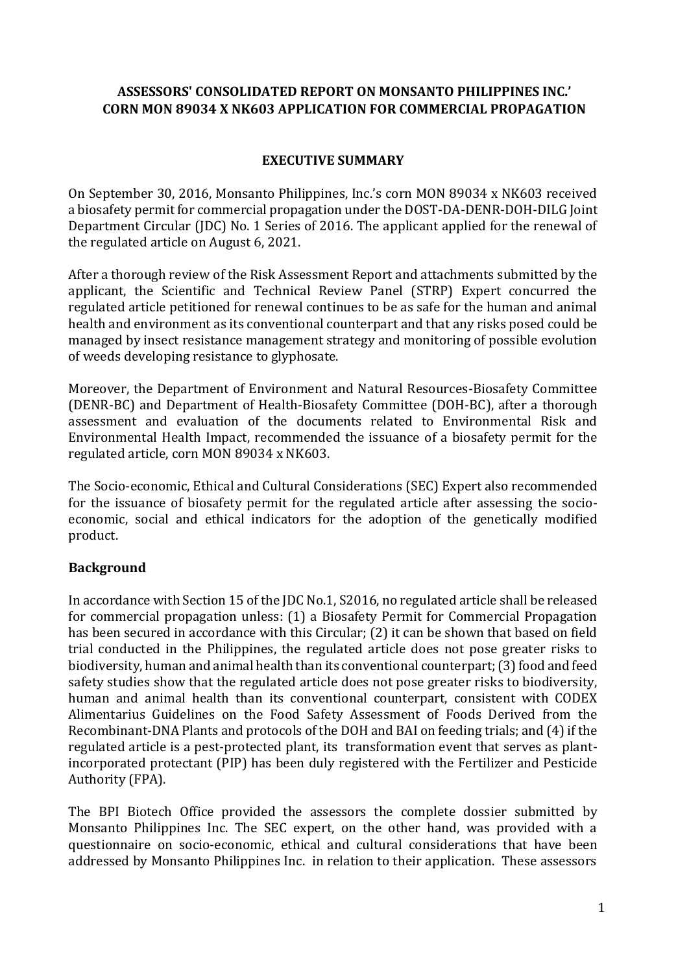# **ASSESSORS' CONSOLIDATED REPORT ON MONSANTO PHILIPPINES INC.' CORN MON 89034 X NK603 APPLICATION FOR COMMERCIAL PROPAGATION**

# **EXECUTIVE SUMMARY**

On September 30, 2016, Monsanto Philippines, Inc.'s corn MON 89034 x NK603 received a biosafety permit for commercial propagation under the DOST-DA-DENR-DOH-DILG Joint Department Circular (JDC) No. 1 Series of 2016. The applicant applied for the renewal of the regulated article on August 6, 2021.

After a thorough review of the Risk Assessment Report and attachments submitted by the applicant, the Scientific and Technical Review Panel (STRP) Expert concurred the regulated article petitioned for renewal continues to be as safe for the human and animal health and environment as its conventional counterpart and that any risks posed could be managed by insect resistance management strategy and monitoring of possible evolution of weeds developing resistance to glyphosate.

Moreover, the Department of Environment and Natural Resources-Biosafety Committee (DENR-BC) and Department of Health-Biosafety Committee (DOH-BC), after a thorough assessment and evaluation of the documents related to Environmental Risk and Environmental Health Impact, recommended the issuance of a biosafety permit for the regulated article, corn MON 89034 x NK603.

The Socio-economic, Ethical and Cultural Considerations (SEC) Expert also recommended for the issuance of biosafety permit for the regulated article after assessing the socioeconomic, social and ethical indicators for the adoption of the genetically modified product.

# **Background**

In accordance with Section 15 of the JDC No.1, S2016, no regulated article shall be released for commercial propagation unless: (1) a Biosafety Permit for Commercial Propagation has been secured in accordance with this Circular; (2) it can be shown that based on field trial conducted in the Philippines, the regulated article does not pose greater risks to biodiversity, human and animal health than its conventional counterpart; (3) food and feed safety studies show that the regulated article does not pose greater risks to biodiversity, human and animal health than its conventional counterpart, consistent with CODEX Alimentarius Guidelines on the Food Safety Assessment of Foods Derived from the Recombinant-DNA Plants and protocols of the DOH and BAI on feeding trials; and (4) if the regulated article is a pest-protected plant, its transformation event that serves as plantincorporated protectant (PIP) has been duly registered with the Fertilizer and Pesticide Authority (FPA).

The BPI Biotech Office provided the assessors the complete dossier submitted by Monsanto Philippines Inc. The SEC expert, on the other hand, was provided with a questionnaire on socio-economic, ethical and cultural considerations that have been addressed by Monsanto Philippines Inc. in relation to their application. These assessors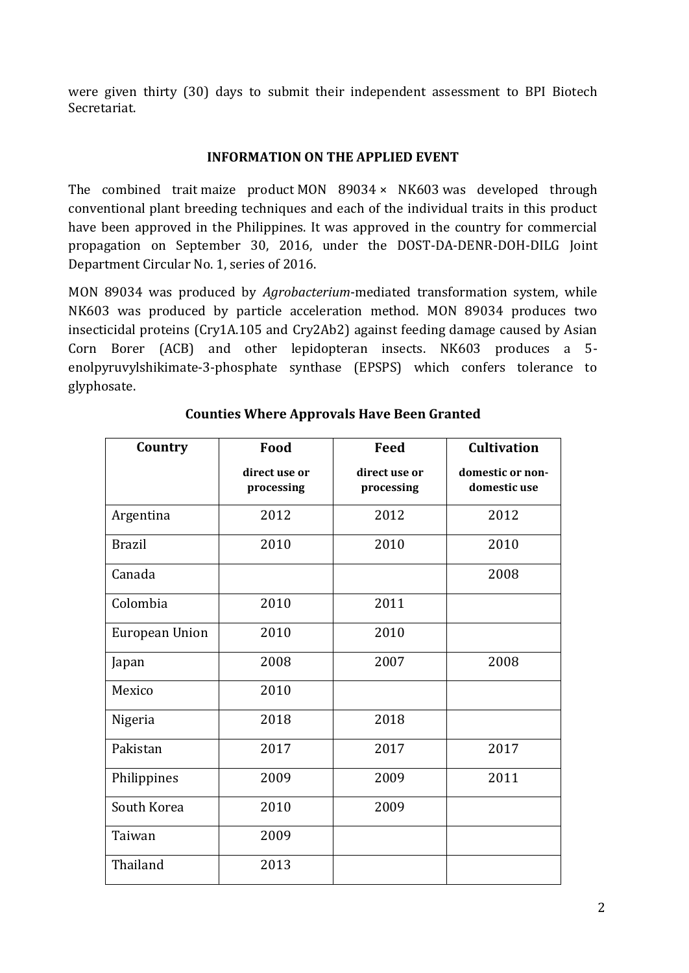were given thirty (30) days to submit their independent assessment to BPI Biotech Secretariat.

## **INFORMATION ON THE APPLIED EVENT**

The combined trait maize product MON 89034 × NK603 was developed through conventional plant breeding techniques and each of the individual traits in this product have been approved in the Philippines. It was approved in the country for commercial propagation on September 30, 2016, under the DOST-DA-DENR-DOH-DILG Joint Department Circular No. 1, series of 2016.

MON 89034 was produced by *Agrobacterium*-mediated transformation system, while NK603 was produced by particle acceleration method. MON 89034 produces two insecticidal proteins (Cry1A.105 and Cry2Ab2) against feeding damage caused by Asian Corn Borer (ACB) and other lepidopteran insects. NK603 produces a 5 enolpyruvylshikimate-3-phosphate synthase (EPSPS) which confers tolerance to glyphosate.

| Country        | Food                        | <b>Feed</b>                 | <b>Cultivation</b>               |
|----------------|-----------------------------|-----------------------------|----------------------------------|
|                | direct use or<br>processing | direct use or<br>processing | domestic or non-<br>domestic use |
| Argentina      | 2012                        | 2012                        | 2012                             |
| <b>Brazil</b>  | 2010                        | 2010                        | 2010                             |
| Canada         |                             |                             | 2008                             |
| Colombia       | 2010                        | 2011                        |                                  |
| European Union | 2010                        | 2010                        |                                  |
| Japan          | 2008                        | 2007                        | 2008                             |
| Mexico         | 2010                        |                             |                                  |
| Nigeria        | 2018                        | 2018                        |                                  |
| Pakistan       | 2017                        | 2017                        | 2017                             |
| Philippines    | 2009                        | 2009                        | 2011                             |
| South Korea    | 2010                        | 2009                        |                                  |
| Taiwan         | 2009                        |                             |                                  |
| Thailand       | 2013                        |                             |                                  |

# **Counties Where Approvals Have Been Granted**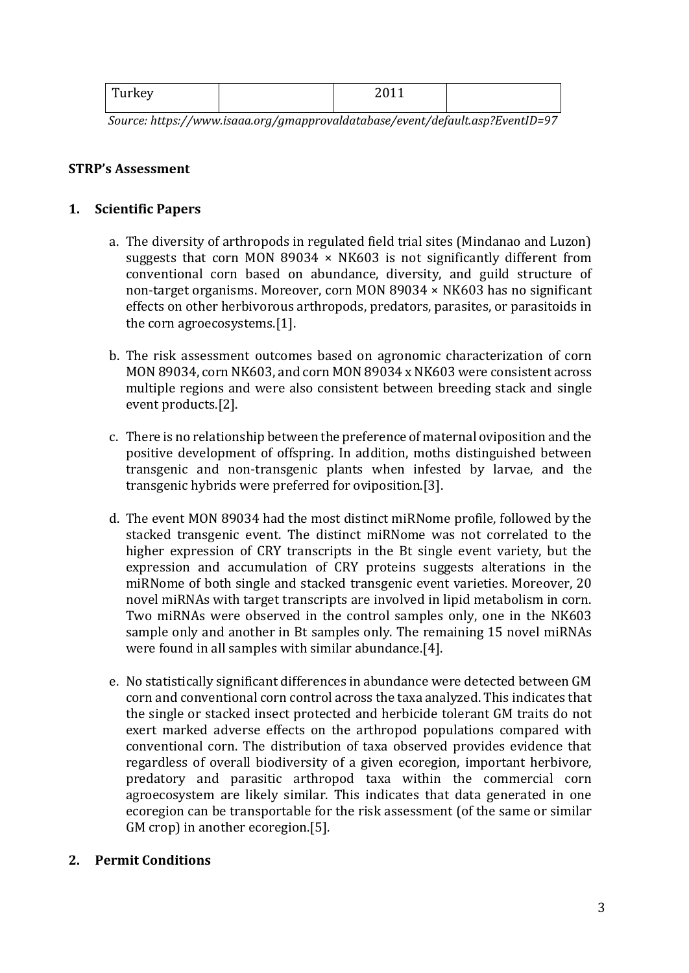| m<br>í urkey<br>. | $2011$<br>$\sim$ |  |
|-------------------|------------------|--|
|                   |                  |  |

*Source: https://www.isaaa.org/gmapprovaldatabase/event/default.asp?EventID=97*

#### **STRP's Assessment**

#### **1. Scientific Papers**

- a. The diversity of arthropods in regulated field trial sites (Mindanao and Luzon) suggests that corn MON 89034  $\times$  NK603 is not significantly different from conventional corn based on abundance, diversity, and guild structure of non-target organisms. Moreover, corn MON 89034 × NK603 has no significant effects on other herbivorous arthropods, predators, parasites, or parasitoids in the corn agroecosystems.[1].
- b. The risk assessment outcomes based on agronomic characterization of corn MON 89034, corn NK603, and corn MON 89034 x NK603 were consistent across multiple regions and were also consistent between breeding stack and single event products.[2].
- c. There is no relationship between the preference of maternal oviposition and the positive development of offspring. In addition, moths distinguished between transgenic and non-transgenic plants when infested by larvae, and the transgenic hybrids were preferred for oviposition.[3].
- d. The event MON 89034 had the most distinct miRNome profile, followed by the stacked transgenic event. The distinct miRNome was not correlated to the higher expression of CRY transcripts in the Bt single event variety, but the expression and accumulation of CRY proteins suggests alterations in the miRNome of both single and stacked transgenic event varieties. Moreover, 20 novel miRNAs with target transcripts are involved in lipid metabolism in corn. Two miRNAs were observed in the control samples only, one in the NK603 sample only and another in Bt samples only. The remaining 15 novel miRNAs were found in all samples with similar abundance.[4].
- e. No statistically significant differences in abundance were detected between GM corn and conventional corn control across the taxa analyzed. This indicates that the single or stacked insect protected and herbicide tolerant GM traits do not exert marked adverse effects on the arthropod populations compared with conventional corn. The distribution of taxa observed provides evidence that regardless of overall biodiversity of a given ecoregion, important herbivore, predatory and parasitic arthropod taxa within the commercial corn agroecosystem are likely similar. This indicates that data generated in one ecoregion can be transportable for the risk assessment (of the same or similar GM crop) in another ecoregion.[5].

## **2. Permit Conditions**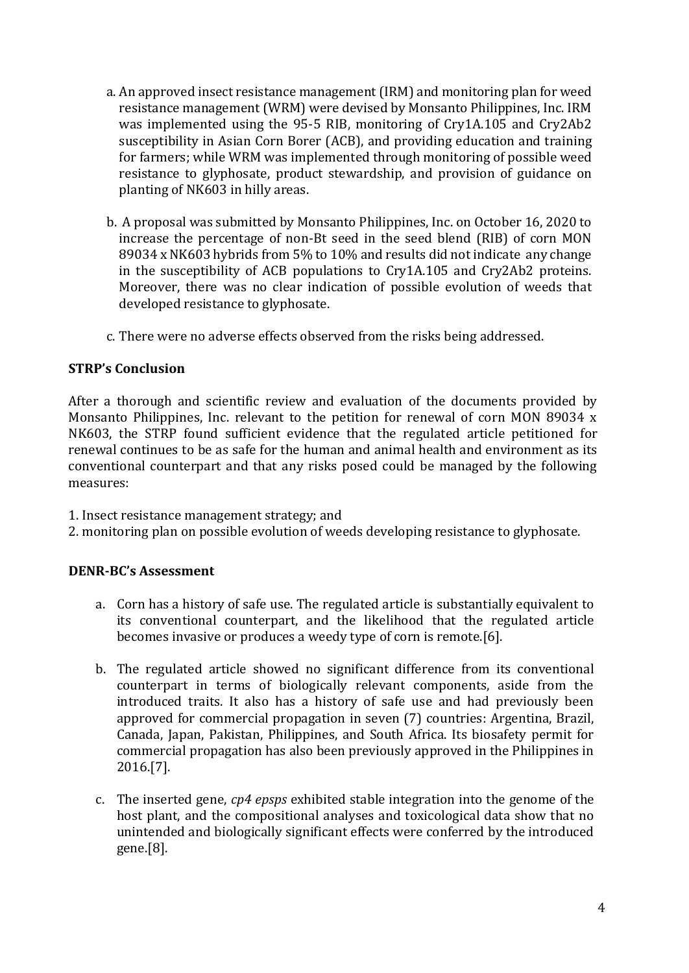- a. An approved insect resistance management (IRM) and monitoring plan for weed resistance management (WRM) were devised by Monsanto Philippines, Inc. IRM was implemented using the 95-5 RIB, monitoring of Cry1A.105 and Cry2Ab2 susceptibility in Asian Corn Borer (ACB), and providing education and training for farmers; while WRM was implemented through monitoring of possible weed resistance to glyphosate, product stewardship, and provision of guidance on planting of NK603 in hilly areas.
- b. A proposal was submitted by Monsanto Philippines, Inc. on October 16, 2020 to increase the percentage of non-Bt seed in the seed blend (RIB) of corn MON 89034 x NK603 hybrids from 5% to 10% and results did not indicate any change in the susceptibility of ACB populations to Cry1A.105 and Cry2Ab2 proteins. Moreover, there was no clear indication of possible evolution of weeds that developed resistance to glyphosate.
- c. There were no adverse effects observed from the risks being addressed.

## **STRP's Conclusion**

After a thorough and scientific review and evaluation of the documents provided by Monsanto Philippines, Inc. relevant to the petition for renewal of corn MON 89034 x NK603, the STRP found sufficient evidence that the regulated article petitioned for renewal continues to be as safe for the human and animal health and environment as its conventional counterpart and that any risks posed could be managed by the following measures:

1. Insect resistance management strategy; and

2. monitoring plan on possible evolution of weeds developing resistance to glyphosate.

#### **DENR-BC's Assessment**

- a. Corn has a history of safe use. The regulated article is substantially equivalent to its conventional counterpart, and the likelihood that the regulated article becomes invasive or produces a weedy type of corn is remote.[6].
- b. The regulated article showed no significant difference from its conventional counterpart in terms of biologically relevant components, aside from the introduced traits. It also has a history of safe use and had previously been approved for commercial propagation in seven (7) countries: Argentina, Brazil, Canada, Japan, Pakistan, Philippines, and South Africa. Its biosafety permit for commercial propagation has also been previously approved in the Philippines in 2016.[7].
- c. The inserted gene, *cp4 epsps* exhibited stable integration into the genome of the host plant, and the compositional analyses and toxicological data show that no unintended and biologically significant effects were conferred by the introduced gene.[8].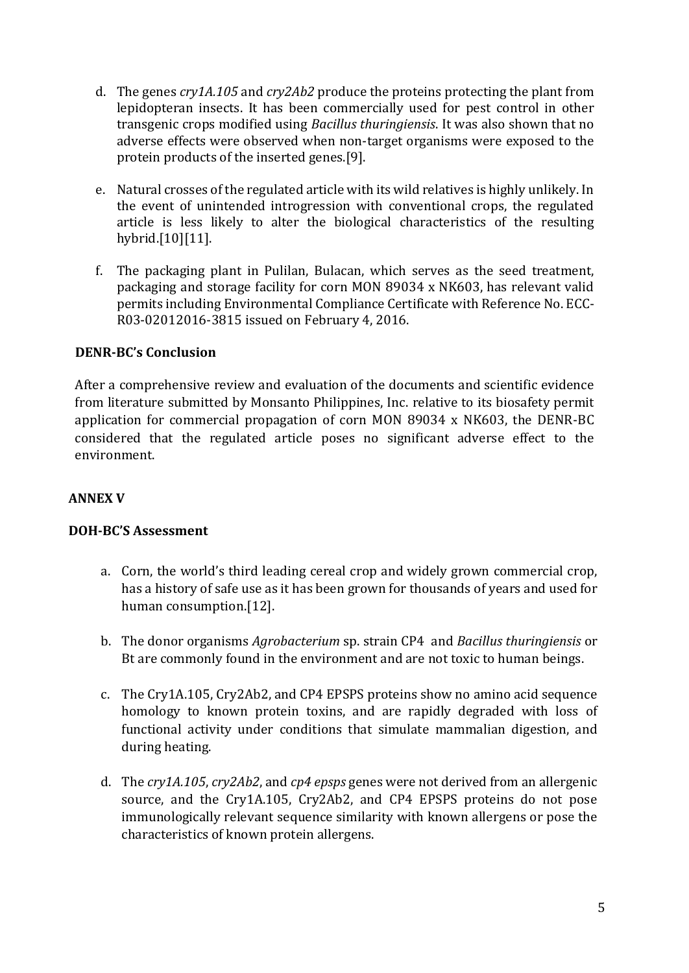- d. The genes *cry1A.105* and *cry2Ab2* produce the proteins protecting the plant from lepidopteran insects. It has been commercially used for pest control in other transgenic crops modified using *Bacillus thuringiensis*. It was also shown that no adverse effects were observed when non-target organisms were exposed to the protein products of the inserted genes.[9].
- e. Natural crosses of the regulated article with its wild relatives is highly unlikely. In the event of unintended introgression with conventional crops, the regulated article is less likely to alter the biological characteristics of the resulting hybrid.[10][11].
- f. The packaging plant in Pulilan, Bulacan, which serves as the seed treatment, packaging and storage facility for corn MON 89034 x NK603, has relevant valid permits including Environmental Compliance Certificate with Reference No. ECC-R03-02012016-3815 issued on February 4, 2016.

## **DENR-BC's Conclusion**

After a comprehensive review and evaluation of the documents and scientific evidence from literature submitted by Monsanto Philippines, Inc. relative to its biosafety permit application for commercial propagation of corn MON 89034 x NK603, the DENR-BC considered that the regulated article poses no significant adverse effect to the environment.

## **ANNEX V**

## **DOH-BC'S Assessment**

- a. Corn, the world's third leading cereal crop and widely grown commercial crop, has a history of safe use as it has been grown for thousands of years and used for human consumption.[12].
- b. The donor organisms *Agrobacterium* sp. strain CP4 and *Bacillus thuringiensis* or Bt are commonly found in the environment and are not toxic to human beings.
- c. The Cry1A.105, Cry2Ab2, and CP4 EPSPS proteins show no amino acid sequence homology to known protein toxins, and are rapidly degraded with loss of functional activity under conditions that simulate mammalian digestion, and during heating.
- d. The *cry1A.105*, *cry2Ab2*, and *cp4 epsps* genes were not derived from an allergenic source, and the Cry1A.105, Cry2Ab2, and CP4 EPSPS proteins do not pose immunologically relevant sequence similarity with known allergens or pose the characteristics of known protein allergens.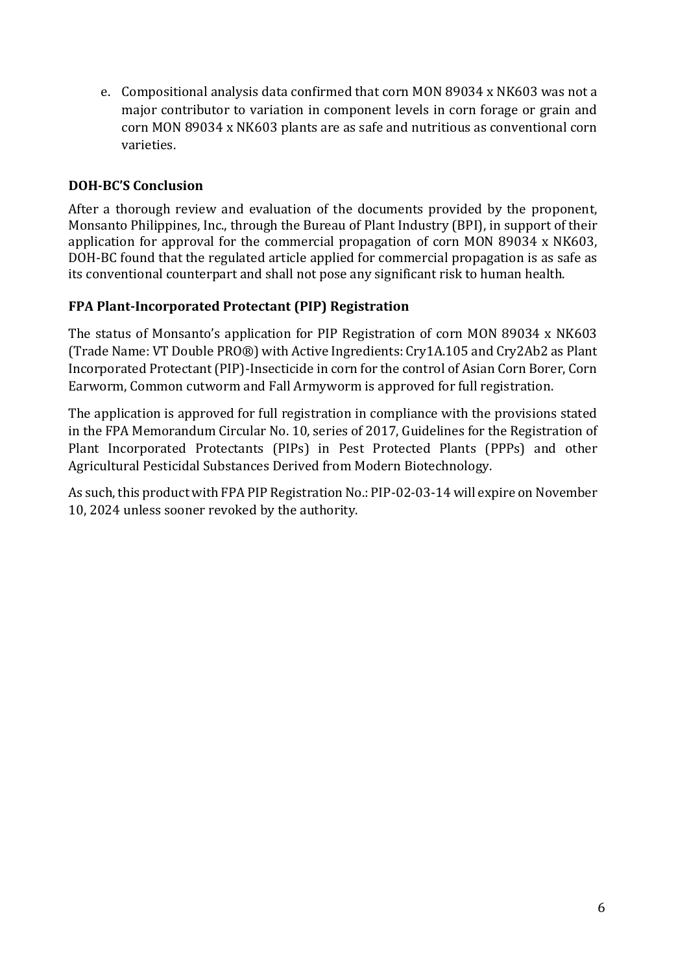e. Compositional analysis data confirmed that corn MON 89034 x NK603 was not a major contributor to variation in component levels in corn forage or grain and corn MON 89034 x NK603 plants are as safe and nutritious as conventional corn varieties.

# **DOH-BC'S Conclusion**

After a thorough review and evaluation of the documents provided by the proponent, Monsanto Philippines, Inc., through the Bureau of Plant Industry (BPI), in support of their application for approval for the commercial propagation of corn MON 89034 x NK603, DOH-BC found that the regulated article applied for commercial propagation is as safe as its conventional counterpart and shall not pose any significant risk to human health.

# **FPA Plant-Incorporated Protectant (PIP) Registration**

The status of Monsanto's application for PIP Registration of corn MON 89034 x NK603 (Trade Name: VT Double PRO®) with Active Ingredients: Cry1A.105 and Cry2Ab2 as Plant Incorporated Protectant (PIP)-Insecticide in corn for the control of Asian Corn Borer, Corn Earworm, Common cutworm and Fall Armyworm is approved for full registration.

The application is approved for full registration in compliance with the provisions stated in the FPA Memorandum Circular No. 10, series of 2017, Guidelines for the Registration of Plant Incorporated Protectants (PIPs) in Pest Protected Plants (PPPs) and other Agricultural Pesticidal Substances Derived from Modern Biotechnology.

As such, this product with FPA PIP Registration No.: PIP-02-03-14 will expire on November 10, 2024 unless sooner revoked by the authority.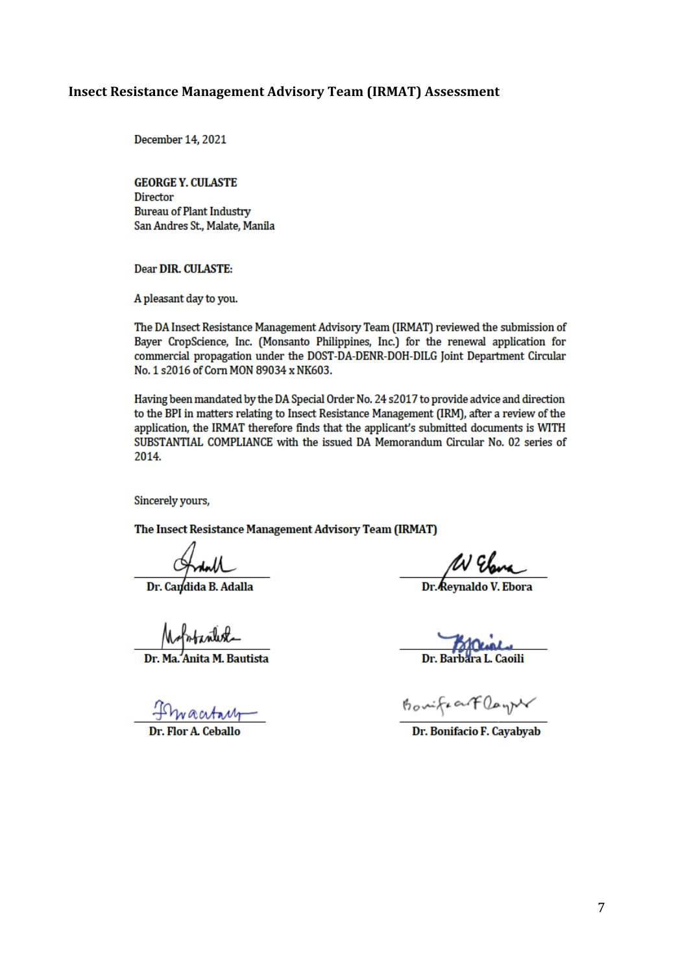#### **Insect Resistance Management Advisory Team (IRMAT) Assessment**

December 14, 2021

**GEORGE Y. CULASTE Director Bureau of Plant Industry** San Andres St., Malate, Manila

**Dear DIR. CULASTE:** 

A pleasant day to you.

The DA Insect Resistance Management Advisory Team (IRMAT) reviewed the submission of Bayer CropScience, Inc. (Monsanto Philippines, Inc.) for the renewal application for commercial propagation under the DOST-DA-DENR-DOH-DILG Joint Department Circular No. 1 s2016 of Corn MON 89034 x NK603.

Having been mandated by the DA Special Order No. 24 s2017 to provide advice and direction to the BPI in matters relating to Insect Resistance Management (IRM), after a review of the application, the IRMAT therefore finds that the applicant's submitted documents is WITH SUBSTANTIAL COMPLIANCE with the issued DA Memorandum Circular No. 02 series of 2014.

Sincerely yours,

The Insect Resistance Management Advisory Team (IRMAT)

Antall<br>Dr. Candida B. Adalla

Mofortanlest

,<br>Anita M. Bautista

<u>Invacrtam</u>

W Elana

Dr. Barbara L. Caoili

BouifractDay

Dr. Bonifacio F. Cayabyab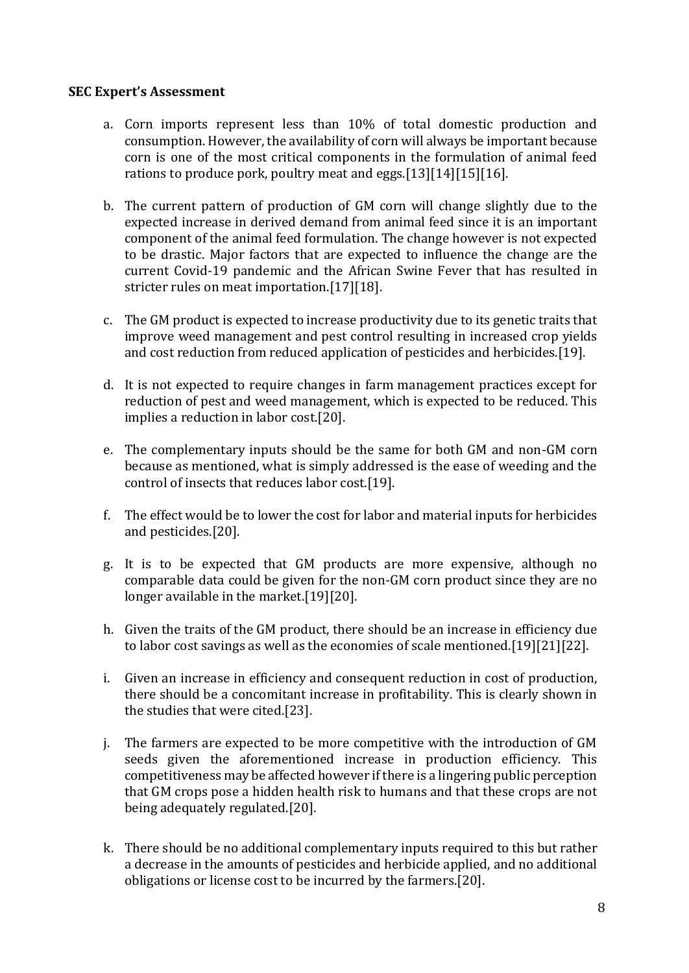## **SEC Expert's Assessment**

- a. Corn imports represent less than 10% of total domestic production and consumption. However, the availability of corn will always be important because corn is one of the most critical components in the formulation of animal feed rations to produce pork, poultry meat and eggs.[13][14][15][16].
- b. The current pattern of production of GM corn will change slightly due to the expected increase in derived demand from animal feed since it is an important component of the animal feed formulation. The change however is not expected to be drastic. Major factors that are expected to influence the change are the current Covid-19 pandemic and the African Swine Fever that has resulted in stricter rules on meat importation.[17][18].
- c. The GM product is expected to increase productivity due to its genetic traits that improve weed management and pest control resulting in increased crop yields and cost reduction from reduced application of pesticides and herbicides.[19].
- d. It is not expected to require changes in farm management practices except for reduction of pest and weed management, which is expected to be reduced. This implies a reduction in labor cost.[20].
- e. The complementary inputs should be the same for both GM and non-GM corn because as mentioned, what is simply addressed is the ease of weeding and the control of insects that reduces labor cost.[19].
- f. The effect would be to lower the cost for labor and material inputs for herbicides and pesticides.[20].
- g. It is to be expected that GM products are more expensive, although no comparable data could be given for the non-GM corn product since they are no longer available in the market.[19][20].
- h. Given the traits of the GM product, there should be an increase in efficiency due to labor cost savings as well as the economies of scale mentioned.[19][21][22].
- i. Given an increase in efficiency and consequent reduction in cost of production, there should be a concomitant increase in profitability. This is clearly shown in the studies that were cited.[23].
- j. The farmers are expected to be more competitive with the introduction of GM seeds given the aforementioned increase in production efficiency. This competitiveness may be affected however if there is a lingering public perception that GM crops pose a hidden health risk to humans and that these crops are not being adequately regulated.[20].
- k. There should be no additional complementary inputs required to this but rather a decrease in the amounts of pesticides and herbicide applied, and no additional obligations or license cost to be incurred by the farmers.[20].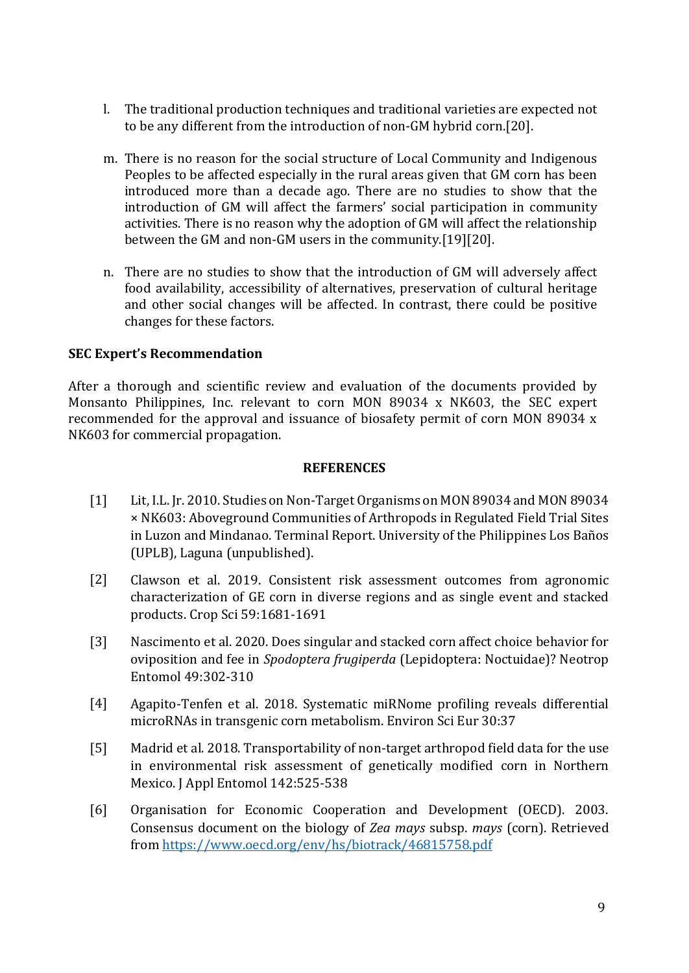- l. The traditional production techniques and traditional varieties are expected not to be any different from the introduction of non-GM hybrid corn.[20].
- m. There is no reason for the social structure of Local Community and Indigenous Peoples to be affected especially in the rural areas given that GM corn has been introduced more than a decade ago. There are no studies to show that the introduction of GM will affect the farmers' social participation in community activities. There is no reason why the adoption of GM will affect the relationship between the GM and non-GM users in the community.[19][20].
- n. There are no studies to show that the introduction of GM will adversely affect food availability, accessibility of alternatives, preservation of cultural heritage and other social changes will be affected. In contrast, there could be positive changes for these factors.

## **SEC Expert's Recommendation**

After a thorough and scientific review and evaluation of the documents provided by Monsanto Philippines, Inc. relevant to corn MON 89034 x NK603, the SEC expert recommended for the approval and issuance of biosafety permit of corn MON 89034 x NK603 for commercial propagation.

#### **REFERENCES**

- [1] Lit, I.L. Jr. 2010. Studies on Non-Target Organisms on MON 89034 and MON 89034 × NK603: Aboveground Communities of Arthropods in Regulated Field Trial Sites in Luzon and Mindanao. Terminal Report. University of the Philippines Los Baños (UPLB), Laguna (unpublished).
- [2] Clawson et al. 2019. Consistent risk assessment outcomes from agronomic characterization of GE corn in diverse regions and as single event and stacked products. Crop Sci 59:1681-1691
- [3] Nascimento et al. 2020. Does singular and stacked corn affect choice behavior for oviposition and fee in *Spodoptera frugiperda* (Lepidoptera: Noctuidae)? Neotrop Entomol 49:302-310
- [4] Agapito-Tenfen et al. 2018. Systematic miRNome profiling reveals differential microRNAs in transgenic corn metabolism. Environ Sci Eur 30:37
- [5] Madrid et al. 2018. Transportability of non-target arthropod field data for the use in environmental risk assessment of genetically modified corn in Northern Mexico. J Appl Entomol 142:525-538
- [6] Organisation for Economic Cooperation and Development (OECD). 2003. Consensus document on the biology of *Zea mays* subsp. *mays* (corn). Retrieved from<https://www.oecd.org/env/hs/biotrack/46815758.pdf>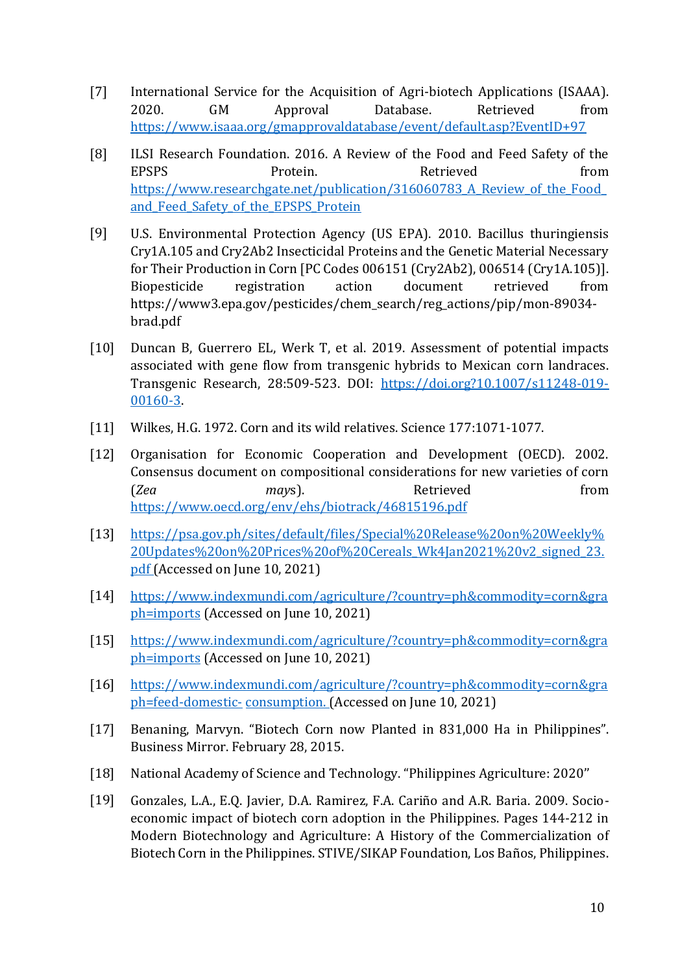- [7] International Service for the Acquisition of Agri-biotech Applications (ISAAA). 2020. GM Approval Database. Retrieved from <https://www.isaaa.org/gmapprovaldatabase/event/default.asp?EventID+97>
- [8] ILSI Research Foundation. 2016. A Review of the Food and Feed Safety of the EPSPS Protein. Retrieved from https://www.researchgate.net/publication/316060783 A Review of the Food and Feed Safety of the EPSPS Protein
- [9] U.S. Environmental Protection Agency (US EPA). 2010. Bacillus thuringiensis Cry1A.105 and Cry2Ab2 Insecticidal Proteins and the Genetic Material Necessary for Their Production in Corn [PC Codes 006151 (Cry2Ab2), 006514 (Cry1A.105)]. Biopesticide registration action document retrieved from https://www3.epa.gov/pesticides/chem\_search/reg\_actions/pip/mon-89034 brad.pdf
- [10] Duncan B, Guerrero EL, Werk T, et al. 2019. Assessment of potential impacts associated with gene flow from transgenic hybrids to Mexican corn landraces. Transgenic Research, 28:509-523. DOI: [https://doi.org?10.1007/s11248-019-](https://doi.org/?10.1007/s11248-019-00160-3) [00160-3.](https://doi.org/?10.1007/s11248-019-00160-3)
- [11] Wilkes, H.G. 1972. Corn and its wild relatives. Science 177:1071-1077.
- [12] Organisation for Economic Cooperation and Development (OECD). 2002. Consensus document on compositional considerations for new varieties of corn (*Zea may*s). Retrieved from <https://www.oecd.org/env/ehs/biotrack/46815196.pdf>
- [13] [https://psa.gov.ph/sites/default/files/Special%20Release%20on%20Weekly%](https://psa.gov.ph/sites/default/files/Special%20Release%20on%20Weekly%20Updates%20on%25) [20Updates%20on%](https://psa.gov.ph/sites/default/files/Special%20Release%20on%20Weekly%20Updates%20on%25)[20Prices%20of%20Cereals\\_Wk4Jan2021%20v2\\_signed\\_23.](https://psa.gov.ph/sites/default/files/Special%20Release%20on%20Weekly%20Updates%20on%20Prices%20of%20Cereals_Wk4Jan2021%20v2_signed_23.pdf) [pdf \(](https://psa.gov.ph/sites/default/files/Special%20Release%20on%20Weekly%20Updates%20on%20Prices%20of%20Cereals_Wk4Jan2021%20v2_signed_23.pdf)Accessed on June 10, 2021)
- [14] [https://www.indexmundi.com/agriculture/?country=ph&commodity=corn&gra](https://www.indexmundi.com/agriculture/?country=ph&commodity=corn&graph=imports) [ph=imports](https://www.indexmundi.com/agriculture/?country=ph&commodity=corn&graph=imports) (Accessed on June 10, 2021)
- [15] [https://www.indexmundi.com/agriculture/?country=ph&commodity=corn&gra](https://www.indexmundi.com/agriculture/?country=ph&commodity=corn&graph=imports) [ph=imports](https://www.indexmundi.com/agriculture/?country=ph&commodity=corn&graph=imports) (Accessed on June 10, 2021)
- [16] [https://www.indexmundi.com/agriculture/?country=ph&commodity=corn&gra](https://www.indexmundi.com/agriculture/?country=ph&commodity=corn&graph=feed-domestic-) [ph=feed-domestic-](https://www.indexmundi.com/agriculture/?country=ph&commodity=corn&graph=feed-domestic-) [consumption. \(](https://www.indexmundi.com/agriculture/?country=ph&commodity=corn&graph=feed-domestic-consumption)Accessed on June 10, 2021)
- [17] Benaning, Marvyn. "Biotech Corn now Planted in 831,000 Ha in Philippines". Business Mirror. February 28, 2015.
- [18] National Academy of Science and Technology. "Philippines Agriculture: 2020''
- [19] Gonzales, L.A., E.Q. Javier, D.A. Ramirez, F.A. Cariño and A.R. Baria. 2009. Socioeconomic impact of biotech corn adoption in the Philippines. Pages 144-212 in Modern Biotechnology and Agriculture: A History of the Commercialization of Biotech Corn in the Philippines. STIVE/SIKAP Foundation, Los Baños, Philippines.